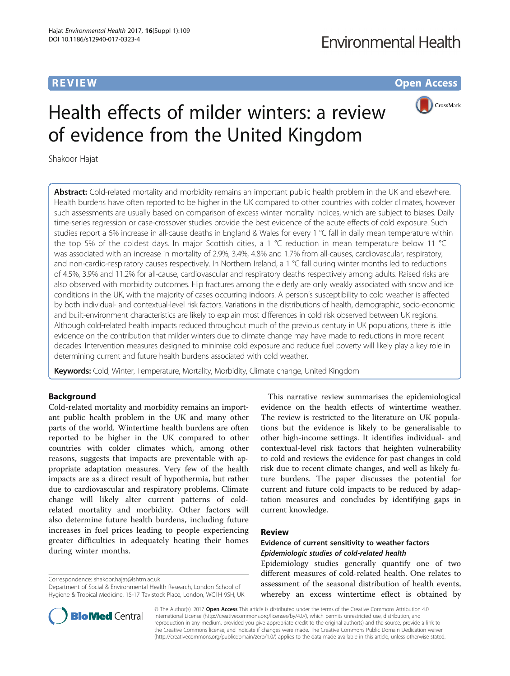**REVIEW CONSTRUCTION CONSTRUCTION CONSTRUCTS** 



# Health effects of milder winters: a review of evidence from the United Kingdom

Shakoor Hajat

Abstract: Cold-related mortality and morbidity remains an important public health problem in the UK and elsewhere. Health burdens have often reported to be higher in the UK compared to other countries with colder climates, however such assessments are usually based on comparison of excess winter mortality indices, which are subject to biases. Daily time-series regression or case-crossover studies provide the best evidence of the acute effects of cold exposure. Such studies report a 6% increase in all-cause deaths in England & Wales for every 1 °C fall in daily mean temperature within the top 5% of the coldest days. In major Scottish cities, a 1 °C reduction in mean temperature below 11 °C was associated with an increase in mortality of 2.9%, 3.4%, 4.8% and 1.7% from all-causes, cardiovascular, respiratory, and non-cardio-respiratory causes respectively. In Northern Ireland, a 1 °C fall during winter months led to reductions of 4.5%, 3.9% and 11.2% for all-cause, cardiovascular and respiratory deaths respectively among adults. Raised risks are also observed with morbidity outcomes. Hip fractures among the elderly are only weakly associated with snow and ice conditions in the UK, with the majority of cases occurring indoors. A person's susceptibility to cold weather is affected by both individual- and contextual-level risk factors. Variations in the distributions of health, demographic, socio-economic and built-environment characteristics are likely to explain most differences in cold risk observed between UK regions. Although cold-related health impacts reduced throughout much of the previous century in UK populations, there is little evidence on the contribution that milder winters due to climate change may have made to reductions in more recent decades. Intervention measures designed to minimise cold exposure and reduce fuel poverty will likely play a key role in determining current and future health burdens associated with cold weather.

Keywords: Cold, Winter, Temperature, Mortality, Morbidity, Climate change, United Kingdom

# Background

Cold-related mortality and morbidity remains an important public health problem in the UK and many other parts of the world. Wintertime health burdens are often reported to be higher in the UK compared to other countries with colder climates which, among other reasons, suggests that impacts are preventable with appropriate adaptation measures. Very few of the health impacts are as a direct result of hypothermia, but rather due to cardiovascular and respiratory problems. Climate change will likely alter current patterns of coldrelated mortality and morbidity. Other factors will also determine future health burdens, including future increases in fuel prices leading to people experiencing greater difficulties in adequately heating their homes during winter months.

Correspondence: [shakoor.hajat@lshtm.ac.uk](mailto:shakoor.hajat@lshtm.ac.uk)

Department of Social & Environmental Health Research, London School of Hygiene & Tropical Medicine, 15-17 Tavistock Place, London, WC1H 9SH, UK

This narrative review summarises the epidemiological evidence on the health effects of wintertime weather. The review is restricted to the literature on UK populations but the evidence is likely to be generalisable to other high-income settings. It identifies individual- and contextual-level risk factors that heighten vulnerability to cold and reviews the evidence for past changes in cold risk due to recent climate changes, and well as likely future burdens. The paper discusses the potential for current and future cold impacts to be reduced by adaptation measures and concludes by identifying gaps in current knowledge.

# Review

# Evidence of current sensitivity to weather factors Epidemiologic studies of cold-related health

Epidemiology studies generally quantify one of two different measures of cold-related health. One relates to assessment of the seasonal distribution of health events, whereby an excess wintertime effect is obtained by



© The Author(s). 2017 Open Access This article is distributed under the terms of the Creative Commons Attribution 4.0 International License [\(http://creativecommons.org/licenses/by/4.0/](http://creativecommons.org/licenses/by/4.0/)), which permits unrestricted use, distribution, and reproduction in any medium, provided you give appropriate credit to the original author(s) and the source, provide a link to the Creative Commons license, and indicate if changes were made. The Creative Commons Public Domain Dedication waiver [\(http://creativecommons.org/publicdomain/zero/1.0/](http://creativecommons.org/publicdomain/zero/1.0/)) applies to the data made available in this article, unless otherwise stated.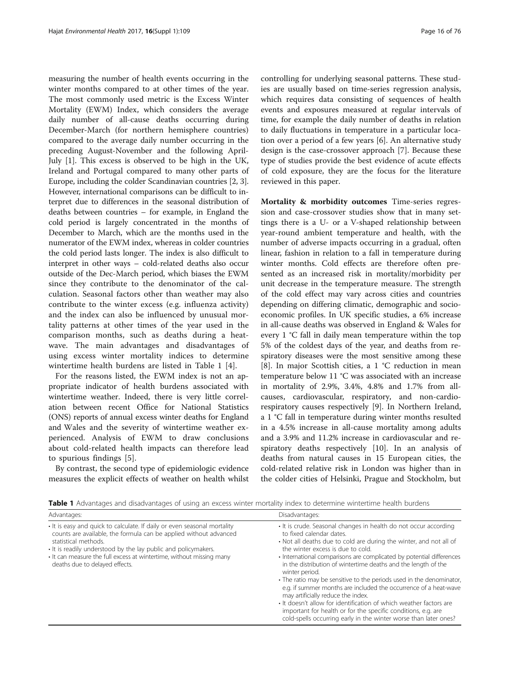measuring the number of health events occurring in the winter months compared to at other times of the year. The most commonly used metric is the Excess Winter Mortality (EWM) Index, which considers the average daily number of all-cause deaths occurring during December-March (for northern hemisphere countries) compared to the average daily number occurring in the preceding August-November and the following April-July [\[1](#page-6-0)]. This excess is observed to be high in the UK, Ireland and Portugal compared to many other parts of Europe, including the colder Scandinavian countries [[2, 3](#page-6-0)]. However, international comparisons can be difficult to interpret due to differences in the seasonal distribution of deaths between countries – for example, in England the cold period is largely concentrated in the months of December to March, which are the months used in the numerator of the EWM index, whereas in colder countries the cold period lasts longer. The index is also difficult to interpret in other ways – cold-related deaths also occur outside of the Dec-March period, which biases the EWM since they contribute to the denominator of the calculation. Seasonal factors other than weather may also contribute to the winter excess (e.g. influenza activity) and the index can also be influenced by unusual mortality patterns at other times of the year used in the comparison months, such as deaths during a heatwave. The main advantages and disadvantages of using excess winter mortality indices to determine wintertime health burdens are listed in Table 1 [[4\]](#page-6-0).

For the reasons listed, the EWM index is not an appropriate indicator of health burdens associated with wintertime weather. Indeed, there is very little correlation between recent Office for National Statistics (ONS) reports of annual excess winter deaths for England and Wales and the severity of wintertime weather experienced. Analysis of EWM to draw conclusions about cold-related health impacts can therefore lead to spurious findings [[5\]](#page-6-0).

By contrast, the second type of epidemiologic evidence measures the explicit effects of weather on health whilst controlling for underlying seasonal patterns. These studies are usually based on time-series regression analysis, which requires data consisting of sequences of health events and exposures measured at regular intervals of time, for example the daily number of deaths in relation to daily fluctuations in temperature in a particular location over a period of a few years [[6\]](#page-6-0). An alternative study design is the case-crossover approach [[7\]](#page-6-0). Because these type of studies provide the best evidence of acute effects of cold exposure, they are the focus for the literature reviewed in this paper.

Mortality & morbidity outcomes Time-series regression and case-crossover studies show that in many settings there is a U- or a V-shaped relationship between year-round ambient temperature and health, with the number of adverse impacts occurring in a gradual, often linear, fashion in relation to a fall in temperature during winter months. Cold effects are therefore often presented as an increased risk in mortality/morbidity per unit decrease in the temperature measure. The strength of the cold effect may vary across cities and countries depending on differing climatic, demographic and socioeconomic profiles. In UK specific studies, a 6% increase in all-cause deaths was observed in England & Wales for every 1 °C fall in daily mean temperature within the top 5% of the coldest days of the year, and deaths from respiratory diseases were the most sensitive among these [[8\]](#page-6-0). In major Scottish cities, a 1 °C reduction in mean temperature below 11 °C was associated with an increase in mortality of 2.9%, 3.4%, 4.8% and 1.7% from allcauses, cardiovascular, respiratory, and non-cardiorespiratory causes respectively [[9\]](#page-6-0). In Northern Ireland, a 1 °C fall in temperature during winter months resulted in a 4.5% increase in all-cause mortality among adults and a 3.9% and 11.2% increase in cardiovascular and respiratory deaths respectively [\[10](#page-6-0)]. In an analysis of deaths from natural causes in 15 European cities, the cold-related relative risk in London was higher than in the colder cities of Helsinki, Prague and Stockholm, but

Table 1 Advantages and disadvantages of using an excess winter mortality index to determine wintertime health burdens

| Advantages:                                                                                                                                                                                                                                                                                                                                       | Disadvantages:                                                                                                                                                                                                                                                                                                                                                                                                                                                                                                                                                                                                                                                                                                                                                   |
|---------------------------------------------------------------------------------------------------------------------------------------------------------------------------------------------------------------------------------------------------------------------------------------------------------------------------------------------------|------------------------------------------------------------------------------------------------------------------------------------------------------------------------------------------------------------------------------------------------------------------------------------------------------------------------------------------------------------------------------------------------------------------------------------------------------------------------------------------------------------------------------------------------------------------------------------------------------------------------------------------------------------------------------------------------------------------------------------------------------------------|
| • It is easy and quick to calculate. If daily or even seasonal mortality<br>counts are available, the formula can be applied without advanced<br>statistical methods.<br>• It is readily understood by the lay public and policymakers.<br>• It can measure the full excess at wintertime, without missing many<br>deaths due to delayed effects. | • It is crude. Seasonal changes in health do not occur according<br>to fixed calendar dates.<br>• Not all deaths due to cold are during the winter, and not all of<br>the winter excess is due to cold.<br>• International comparisons are complicated by potential differences<br>in the distribution of wintertime deaths and the length of the<br>winter period.<br>• The ratio may be sensitive to the periods used in the denominator,<br>e.g. if summer months are included the occurrence of a heat-wave<br>may artificially reduce the index.<br>• It doesn't allow for identification of which weather factors are<br>important for health or for the specific conditions, e.g. are<br>cold-spells occurring early in the winter worse than later ones? |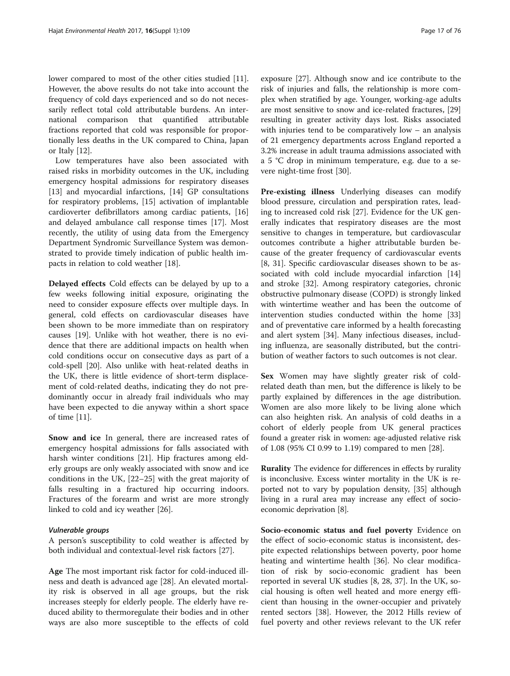lower compared to most of the other cities studied [\[11](#page-6-0)]. However, the above results do not take into account the frequency of cold days experienced and so do not necessarily reflect total cold attributable burdens. An international comparison that quantified attributable fractions reported that cold was responsible for proportionally less deaths in the UK compared to China, Japan or Italy [\[12](#page-6-0)].

Low temperatures have also been associated with raised risks in morbidity outcomes in the UK, including emergency hospital admissions for respiratory diseases [[13\]](#page-6-0) and myocardial infarctions, [\[14\]](#page-6-0) GP consultations for respiratory problems, [[15\]](#page-6-0) activation of implantable cardioverter defibrillators among cardiac patients, [[16](#page-6-0)] and delayed ambulance call response times [[17](#page-6-0)]. Most recently, the utility of using data from the Emergency Department Syndromic Surveillance System was demonstrated to provide timely indication of public health impacts in relation to cold weather [[18](#page-6-0)].

Delayed effects Cold effects can be delayed by up to a few weeks following initial exposure, originating the need to consider exposure effects over multiple days. In general, cold effects on cardiovascular diseases have been shown to be more immediate than on respiratory causes [[19\]](#page-6-0). Unlike with hot weather, there is no evidence that there are additional impacts on health when cold conditions occur on consecutive days as part of a cold-spell [[20\]](#page-6-0). Also unlike with heat-related deaths in the UK, there is little evidence of short-term displacement of cold-related deaths, indicating they do not predominantly occur in already frail individuals who may have been expected to die anyway within a short space of time [[11\]](#page-6-0).

Snow and ice In general, there are increased rates of emergency hospital admissions for falls associated with harsh winter conditions [[21\]](#page-6-0). Hip fractures among elderly groups are only weakly associated with snow and ice conditions in the UK, [[22](#page-6-0)–[25](#page-6-0)] with the great majority of falls resulting in a fractured hip occurring indoors. Fractures of the forearm and wrist are more strongly linked to cold and icy weather [[26\]](#page-6-0).

### Vulnerable groups

A person's susceptibility to cold weather is affected by both individual and contextual-level risk factors [[27](#page-6-0)].

Age The most important risk factor for cold-induced illness and death is advanced age [\[28](#page-6-0)]. An elevated mortality risk is observed in all age groups, but the risk increases steeply for elderly people. The elderly have reduced ability to thermoregulate their bodies and in other ways are also more susceptible to the effects of cold exposure [\[27](#page-6-0)]. Although snow and ice contribute to the risk of injuries and falls, the relationship is more complex when stratified by age. Younger, working-age adults are most sensitive to snow and ice-related fractures, [[29](#page-6-0)] resulting in greater activity days lost. Risks associated with injuries tend to be comparatively low – an analysis of 21 emergency departments across England reported a 3.2% increase in adult trauma admissions associated with a 5 °C drop in minimum temperature, e.g. due to a severe night-time frost [\[30\]](#page-6-0).

Pre-existing illness Underlying diseases can modify blood pressure, circulation and perspiration rates, leading to increased cold risk [\[27\]](#page-6-0). Evidence for the UK generally indicates that respiratory diseases are the most sensitive to changes in temperature, but cardiovascular outcomes contribute a higher attributable burden because of the greater frequency of cardiovascular events [[8, 31](#page-6-0)]. Specific cardiovascular diseases shown to be associated with cold include myocardial infarction [[14](#page-6-0)] and stroke [\[32\]](#page-6-0). Among respiratory categories, chronic obstructive pulmonary disease (COPD) is strongly linked with wintertime weather and has been the outcome of intervention studies conducted within the home [[33](#page-6-0)] and of preventative care informed by a health forecasting and alert system [[34\]](#page-6-0). Many infectious diseases, including influenza, are seasonally distributed, but the contribution of weather factors to such outcomes is not clear.

Sex Women may have slightly greater risk of coldrelated death than men, but the difference is likely to be partly explained by differences in the age distribution. Women are also more likely to be living alone which can also heighten risk. An analysis of cold deaths in a cohort of elderly people from UK general practices found a greater risk in women: age-adjusted relative risk of 1.08 (95% CI 0.99 to 1.19) compared to men [[28\]](#page-6-0).

Rurality The evidence for differences in effects by rurality is inconclusive. Excess winter mortality in the UK is reported not to vary by population density, [\[35\]](#page-6-0) although living in a rural area may increase any effect of socioeconomic deprivation [\[8](#page-6-0)].

Socio-economic status and fuel poverty Evidence on the effect of socio-economic status is inconsistent, despite expected relationships between poverty, poor home heating and wintertime health [[36](#page-6-0)]. No clear modification of risk by socio-economic gradient has been reported in several UK studies [[8, 28, 37\]](#page-6-0). In the UK, social housing is often well heated and more energy efficient than housing in the owner-occupier and privately rented sectors [[38\]](#page-6-0). However, the 2012 Hills review of fuel poverty and other reviews relevant to the UK refer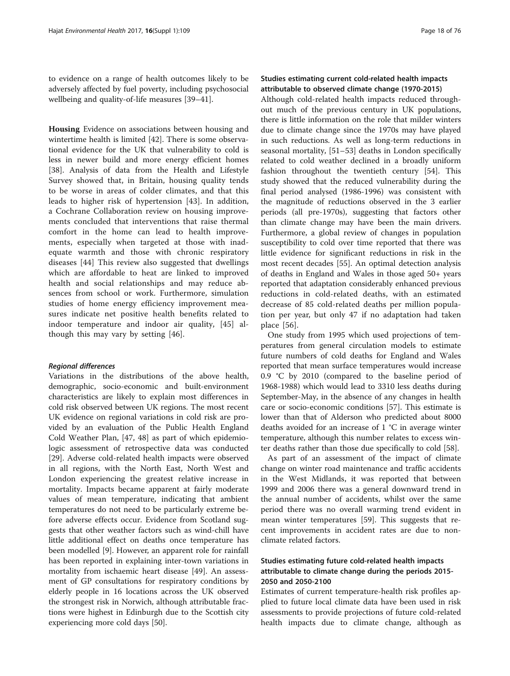to evidence on a range of health outcomes likely to be adversely affected by fuel poverty, including psychosocial wellbeing and quality-of-life measures [\[39](#page-6-0)–[41\]](#page-6-0).

Housing Evidence on associations between housing and wintertime health is limited [\[42](#page-6-0)]. There is some observational evidence for the UK that vulnerability to cold is less in newer build and more energy efficient homes [[38\]](#page-6-0). Analysis of data from the Health and Lifestyle Survey showed that, in Britain, housing quality tends to be worse in areas of colder climates, and that this leads to higher risk of hypertension [[43\]](#page-6-0). In addition, a Cochrane Collaboration review on housing improvements concluded that interventions that raise thermal comfort in the home can lead to health improvements, especially when targeted at those with inadequate warmth and those with chronic respiratory diseases [[44\]](#page-6-0) This review also suggested that dwellings which are affordable to heat are linked to improved health and social relationships and may reduce absences from school or work. Furthermore, simulation studies of home energy efficiency improvement measures indicate net positive health benefits related to indoor temperature and indoor air quality, [\[45](#page-6-0)] although this may vary by setting [\[46](#page-6-0)].

#### Regional differences

Variations in the distributions of the above health, demographic, socio-economic and built-environment characteristics are likely to explain most differences in cold risk observed between UK regions. The most recent UK evidence on regional variations in cold risk are provided by an evaluation of the Public Health England Cold Weather Plan, [[47](#page-6-0), [48\]](#page-6-0) as part of which epidemiologic assessment of retrospective data was conducted [[29\]](#page-6-0). Adverse cold-related health impacts were observed in all regions, with the North East, North West and London experiencing the greatest relative increase in mortality. Impacts became apparent at fairly moderate values of mean temperature, indicating that ambient temperatures do not need to be particularly extreme before adverse effects occur. Evidence from Scotland suggests that other weather factors such as wind-chill have little additional effect on deaths once temperature has been modelled [[9\]](#page-6-0). However, an apparent role for rainfall has been reported in explaining inter-town variations in mortality from ischaemic heart disease [\[49\]](#page-6-0). An assessment of GP consultations for respiratory conditions by elderly people in 16 locations across the UK observed the strongest risk in Norwich, although attributable fractions were highest in Edinburgh due to the Scottish city experiencing more cold days [\[50\]](#page-6-0).

# Studies estimating current cold-related health impacts attributable to observed climate change (1970-2015)

Although cold-related health impacts reduced throughout much of the previous century in UK populations, there is little information on the role that milder winters due to climate change since the 1970s may have played in such reductions. As well as long-term reductions in seasonal mortality, [\[51](#page-6-0)–[53\]](#page-6-0) deaths in London specifically related to cold weather declined in a broadly uniform fashion throughout the twentieth century [[54\]](#page-6-0). This study showed that the reduced vulnerability during the final period analysed (1986-1996) was consistent with the magnitude of reductions observed in the 3 earlier periods (all pre-1970s), suggesting that factors other than climate change may have been the main drivers. Furthermore, a global review of changes in population susceptibility to cold over time reported that there was little evidence for significant reductions in risk in the most recent decades [\[55](#page-6-0)]. An optimal detection analysis of deaths in England and Wales in those aged 50+ years reported that adaptation considerably enhanced previous reductions in cold-related deaths, with an estimated decrease of 85 cold-related deaths per million population per year, but only 47 if no adaptation had taken place [\[56](#page-6-0)].

One study from 1995 which used projections of temperatures from general circulation models to estimate future numbers of cold deaths for England and Wales reported that mean surface temperatures would increase 0.9 °C by 2010 (compared to the baseline period of 1968-1988) which would lead to 3310 less deaths during September-May, in the absence of any changes in health care or socio-economic conditions [\[57](#page-7-0)]. This estimate is lower than that of Alderson who predicted about 8000 deaths avoided for an increase of 1 °C in average winter temperature, although this number relates to excess winter deaths rather than those due specifically to cold [\[58](#page-7-0)].

As part of an assessment of the impact of climate change on winter road maintenance and traffic accidents in the West Midlands, it was reported that between 1999 and 2006 there was a general downward trend in the annual number of accidents, whilst over the same period there was no overall warming trend evident in mean winter temperatures [[59](#page-7-0)]. This suggests that recent improvements in accident rates are due to nonclimate related factors.

# Studies estimating future cold-related health impacts attributable to climate change during the periods 2015- 2050 and 2050-2100

Estimates of current temperature-health risk profiles applied to future local climate data have been used in risk assessments to provide projections of future cold-related health impacts due to climate change, although as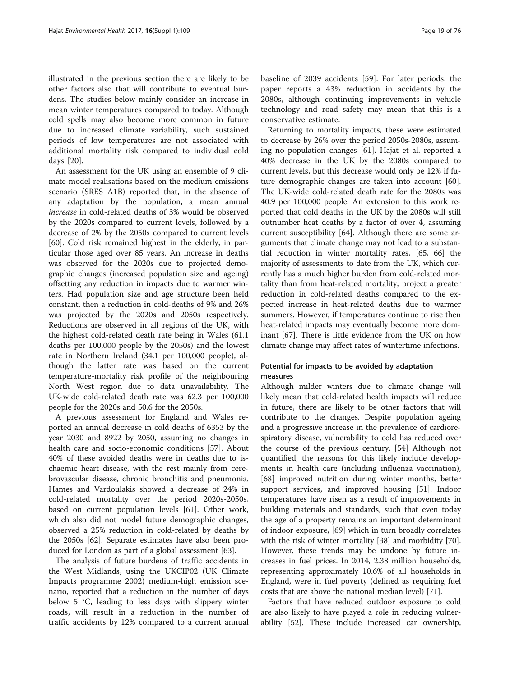illustrated in the previous section there are likely to be other factors also that will contribute to eventual burdens. The studies below mainly consider an increase in mean winter temperatures compared to today. Although cold spells may also become more common in future due to increased climate variability, such sustained periods of low temperatures are not associated with additional mortality risk compared to individual cold days [[20](#page-6-0)].

An assessment for the UK using an ensemble of 9 climate model realisations based on the medium emissions scenario (SRES A1B) reported that, in the absence of any adaptation by the population, a mean annual increase in cold-related deaths of 3% would be observed by the 2020s compared to current levels, followed by a decrease of 2% by the 2050s compared to current levels [[60\]](#page-7-0). Cold risk remained highest in the elderly, in particular those aged over 85 years. An increase in deaths was observed for the 2020s due to projected demographic changes (increased population size and ageing) offsetting any reduction in impacts due to warmer winters. Had population size and age structure been held constant, then a reduction in cold-deaths of 9% and 26% was projected by the 2020s and 2050s respectively. Reductions are observed in all regions of the UK, with the highest cold-related death rate being in Wales (61.1 deaths per 100,000 people by the 2050s) and the lowest rate in Northern Ireland (34.1 per 100,000 people), although the latter rate was based on the current temperature-mortality risk profile of the neighbouring North West region due to data unavailability. The UK-wide cold-related death rate was 62.3 per 100,000 people for the 2020s and 50.6 for the 2050s.

A previous assessment for England and Wales reported an annual decrease in cold deaths of 6353 by the year 2030 and 8922 by 2050, assuming no changes in health care and socio-economic conditions [\[57](#page-7-0)]. About 40% of these avoided deaths were in deaths due to ischaemic heart disease, with the rest mainly from cerebrovascular disease, chronic bronchitis and pneumonia. Hames and Vardoulakis showed a decrease of 24% in cold-related mortality over the period 2020s-2050s, based on current population levels [\[61](#page-7-0)]. Other work, which also did not model future demographic changes, observed a 25% reduction in cold-related by deaths by the 2050s [\[62\]](#page-7-0). Separate estimates have also been produced for London as part of a global assessment [\[63\]](#page-7-0).

The analysis of future burdens of traffic accidents in the West Midlands, using the UKCIP02 (UK Climate Impacts programme 2002) medium-high emission scenario, reported that a reduction in the number of days below 5 °C, leading to less days with slippery winter roads, will result in a reduction in the number of traffic accidents by 12% compared to a current annual

baseline of 2039 accidents [\[59](#page-7-0)]. For later periods, the paper reports a 43% reduction in accidents by the 2080s, although continuing improvements in vehicle technology and road safety may mean that this is a conservative estimate.

Returning to mortality impacts, these were estimated to decrease by 26% over the period 2050s-2080s, assuming no population changes [\[61](#page-7-0)]. Hajat et al. reported a 40% decrease in the UK by the 2080s compared to current levels, but this decrease would only be 12% if future demographic changes are taken into account [\[60](#page-7-0)]. The UK-wide cold-related death rate for the 2080s was 40.9 per 100,000 people. An extension to this work reported that cold deaths in the UK by the 2080s will still outnumber heat deaths by a factor of over 4, assuming current susceptibility [[64\]](#page-7-0). Although there are some arguments that climate change may not lead to a substantial reduction in winter mortality rates, [[65, 66\]](#page-7-0) the majority of assessments to date from the UK, which currently has a much higher burden from cold-related mortality than from heat-related mortality, project a greater reduction in cold-related deaths compared to the expected increase in heat-related deaths due to warmer summers. However, if temperatures continue to rise then heat-related impacts may eventually become more dominant [\[67](#page-7-0)]. There is little evidence from the UK on how climate change may affect rates of wintertime infections.

# Potential for impacts to be avoided by adaptation measures

Although milder winters due to climate change will likely mean that cold-related health impacts will reduce in future, there are likely to be other factors that will contribute to the changes. Despite population ageing and a progressive increase in the prevalence of cardiorespiratory disease, vulnerability to cold has reduced over the course of the previous century. [\[54\]](#page-6-0) Although not quantified, the reasons for this likely include developments in health care (including influenza vaccination), [[68\]](#page-7-0) improved nutrition during winter months, better support services, and improved housing [[51](#page-6-0)]. Indoor temperatures have risen as a result of improvements in building materials and standards, such that even today the age of a property remains an important determinant of indoor exposure, [[69\]](#page-7-0) which in turn broadly correlates with the risk of winter mortality [\[38\]](#page-6-0) and morbidity [\[70](#page-7-0)]. However, these trends may be undone by future increases in fuel prices. In 2014, 2.38 million households, representing approximately 10.6% of all households in England, were in fuel poverty (defined as requiring fuel costs that are above the national median level) [[71](#page-7-0)].

Factors that have reduced outdoor exposure to cold are also likely to have played a role in reducing vulnerability [[52](#page-6-0)]. These include increased car ownership,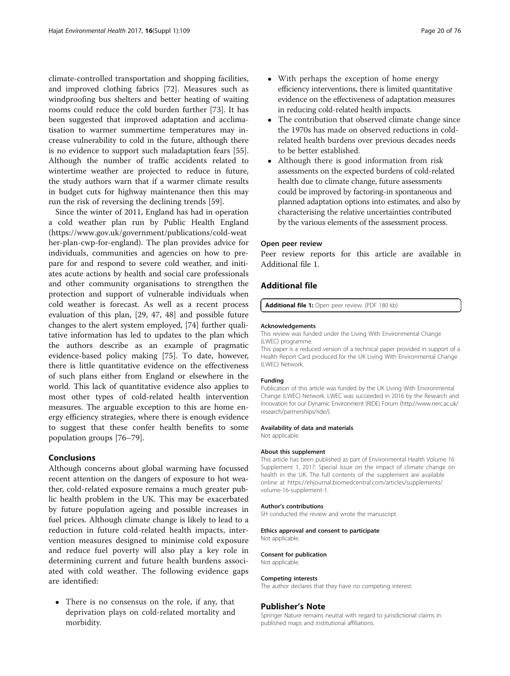climate-controlled transportation and shopping facilities, and improved clothing fabrics [\[72\]](#page-7-0). Measures such as windproofing bus shelters and better heating of waiting rooms could reduce the cold burden further [\[73](#page-7-0)]. It has been suggested that improved adaptation and acclimatisation to warmer summertime temperatures may increase vulnerability to cold in the future, although there is no evidence to support such maladaptation fears [\[55](#page-6-0)]. Although the number of traffic accidents related to wintertime weather are projected to reduce in future, the study authors warn that if a warmer climate results in budget cuts for highway maintenance then this may run the risk of reversing the declining trends [[59\]](#page-7-0).

Since the winter of 2011, England has had in operation a cold weather plan run by Public Health England ([https://www.gov.uk/government/publications/cold-weat](https://www.gov.uk/government/publications/cold-weather-plan-cwp-for-england) [her-plan-cwp-for-england\)](https://www.gov.uk/government/publications/cold-weather-plan-cwp-for-england). The plan provides advice for individuals, communities and agencies on how to prepare for and respond to severe cold weather, and initiates acute actions by health and social care professionals and other community organisations to strengthen the protection and support of vulnerable individuals when cold weather is forecast. As well as a recent process evaluation of this plan, [[29, 47, 48\]](#page-6-0) and possible future changes to the alert system employed, [\[74](#page-7-0)] further qualitative information has led to updates to the plan which the authors describe as an example of pragmatic evidence-based policy making [\[75](#page-7-0)]. To date, however, there is little quantitative evidence on the effectiveness of such plans either from England or elsewhere in the world. This lack of quantitative evidence also applies to most other types of cold-related health intervention measures. The arguable exception to this are home energy efficiency strategies, where there is enough evidence to suggest that these confer health benefits to some population groups [[76](#page-7-0)–[79](#page-7-0)].

# Conclusions

Although concerns about global warming have focussed recent attention on the dangers of exposure to hot weather, cold-related exposure remains a much greater public health problem in the UK. This may be exacerbated by future population ageing and possible increases in fuel prices. Although climate change is likely to lead to a reduction in future cold-related health impacts, intervention measures designed to minimise cold exposure and reduce fuel poverty will also play a key role in determining current and future health burdens associated with cold weather. The following evidence gaps are identified:

 There is no consensus on the role, if any, that deprivation plays on cold-related mortality and morbidity.

- With perhaps the exception of home energy efficiency interventions, there is limited quantitative evidence on the effectiveness of adaptation measures in reducing cold-related health impacts.
- The contribution that observed climate change since the 1970s has made on observed reductions in coldrelated health burdens over previous decades needs to be better established.
- Although there is good information from risk assessments on the expected burdens of cold-related health due to climate change, future assessments could be improved by factoring-in spontaneous and planned adaptation options into estimates, and also by characterising the relative uncertainties contributed by the various elements of the assessment process.

#### Open peer review

Peer review reports for this article are available in Additional file 1.

# Additional file

[Additional file 1:](dx.doi.org/10.1186/s12940-017-0323-4) Open peer review. (PDF 180 kb)

#### Acknowledgements

This review was funded under the Living With Environmental Change (LWEC) programme.

This paper is a reduced version of a technical paper provided in support of a Health Report Card produced for the UK Living With Environmental Change (LWEC) Network.

#### Funding

Publication of this article was funded by the UK Living With Environmental Change (LWEC) Network. LWEC was succeeded in 2016 by the Research and Innovation for our Dynamic Environment (RIDE) Forum [\(http://www.nerc.ac.uk/](http://www.nerc.ac.uk/research/partnerships/ride/) [research/partnerships/ride/](http://www.nerc.ac.uk/research/partnerships/ride/)).

#### Availability of data and materials

Not applicable.

#### About this supplement

This article has been published as part of Environmental Health Volume 16 Supplement 1, 2017: Special Issue on the impact of climate change on health in the UK. The full contents of the supplement are available online at [https://ehjournal.biomedcentral.com/articles/supplements/](https://ehjournal.biomedcentral.com/articles/supplements/volume-16-supplement-1) [volume-16-supplement-1.](https://ehjournal.biomedcentral.com/articles/supplements/volume-16-supplement-1)

#### Author's contributions

SH conducted the review and wrote the manuscript.

#### Ethics approval and consent to participate

Not applicable.

### Consent for publication

Not applicable.

#### Competing interests

The author declares that they have no competing interest.

#### Publisher's Note

Springer Nature remains neutral with regard to jurisdictional claims in published maps and institutional affiliations.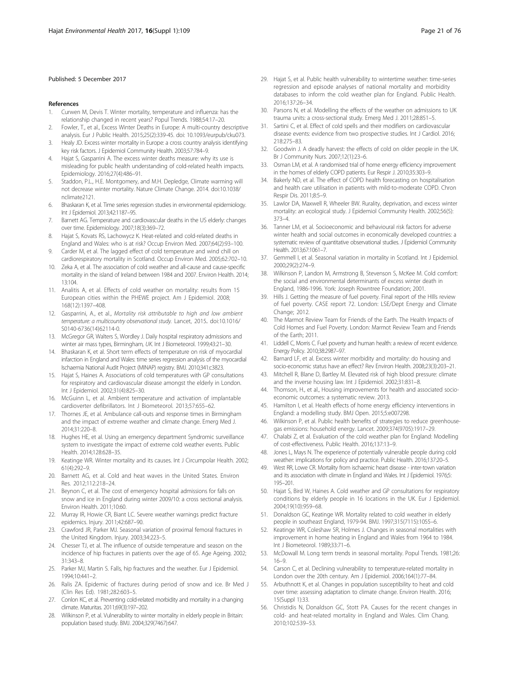### <span id="page-6-0"></span>Published: 5 December 2017

#### References

- Curwen M, Devis T. Winter mortality, temperature and influenza: has the relationship changed in recent years? Popul Trends. 1988;54:17–20.
- 2. Fowler, T., et al., Excess Winter Deaths in Europe: A multi-country descriptive analysis. Eur J Public Health. 2015;25(2):339-45. doi: [10.1093/eurpub/cku073.](http://dx.doi.org/10.1093/eurpub/cku073)
- 3. Healy JD. Excess winter mortality in Europe: a cross country analysis identifying key risk factors. J Epidemiol Community Health. 2003;57:784–9.
- 4. Hajat S, Gasparrini A. The excess winter deaths measure: why its use is misleading for public health understanding of cold-related health impacts. Epidemiology. 2016;27(4):486–91.
- 5. Staddon, P.L., H.E. Montgomery, and M.H. Depledge, Climate warming will not decrease winter mortality. Nature Climate Change. 2014. doi:[10.1038/](http://dx.doi.org/10.1038/nclimate2121) [nclimate2121.](http://dx.doi.org/10.1038/nclimate2121)
- Bhaskaran K, et al. Time series regression studies in environmental epidemiology. Int J Epidemiol. 2013;42:1187–95.
- Barnett AG. Temperature and cardiovascular deaths in the US elderly: changes over time. Epidemiology. 2007;18(3):369–72.
- 8. Hajat S, Kovats RS, Lachowycz K. Heat-related and cold-related deaths in England and Wales: who is at risk? Occup Environ Med. 2007;64(2):93–100.
- 9. Carder M, et al. The lagged effect of cold temperature and wind chill on cardiorespiratory mortality in Scotland. Occup Environ Med. 2005;62:702–10.
- 10. Zeka A, et al. The association of cold weather and all-cause and cause-specific mortality in the island of Ireland between 1984 and 2007. Environ Health. 2014; 13:104.
- 11. Analitis A, et al. Effects of cold weather on mortality: results from 15 European cities within the PHEWE project. Am J Epidemiol. 2008; 168(12):1397–408.
- 12. Gasparrini, A., et al., Mortality risk attributable to high and low ambient temperature: a multicountry observational study. Lancet, 2015. doi:[10.1016/](http://dx.doi.org/10.1016/S0140-6736(14)62114-0) [S0140-6736\(14\)62114-0](http://dx.doi.org/10.1016/S0140-6736(14)62114-0).
- 13. McGregor GR, Walters S, Wordley J. Daily hospital respiratory admissions and winter air mass types, Birmingham, UK. Int J Biometeorol. 1999;43:21–30.
- 14. Bhaskaran K, et al. Short term effects of temperature on risk of myocardial infarction in England and Wales: time series regression analysis of the myocardial Ischaemia National Audit Project (MINAP) registry. BMJ. 2010;341:c3823.
- 15. Hajat S, Haines A. Associations of cold temperatures with GP consultations for respiratory and cardiovascular disease amongst the elderly in London. Int J Epidemiol. 2002;31(4):825–30.
- 16. McGuinn L, et al. Ambient temperature and activation of implantable cardioverter defibrillators. Int J Biometeorol. 2013;57:655–62.
- 17. Thornes JE, et al. Ambulance call-outs and response times in Birmingham and the impact of extreme weather and climate change. Emerg Med J. 2014;31:220–8.
- 18. Hughes HE, et al. Using an emergency department Syndromic surveillance system to investigate the impact of extreme cold weather events. Public Health. 2014;128:628–35.
- 19. Keatinge WR. Winter mortality and its causes. Int J Circumpolar Health. 2002; 61(4):292–9.
- 20. Barnett AG, et al. Cold and heat waves in the United States. Environ Res. 2012;112:218–24.
- 21. Beynon C, et al. The cost of emergency hospital admissions for falls on snow and ice in England during winter 2009/10: a cross sectional analysis. Environ Health. 2011;10:60.
- 22. Murray IR, Howie CR, Biant LC. Severe weather warnings predict fracture epidemics. Injury. 2011;42:687–90.
- 23. Crawford JR, Parker MJ. Seasonal variation of proximal femoral fractures in the United Kingdom. Injury. 2003;34:223–5.
- 24. Chesser TJ, et al. The influence of outside temperature and season on the incidence of hip fractures in patients over the age of 65. Age Ageing. 2002; 31:343–8.
- 25. Parker MJ, Martin S. Falls, hip fractures and the weather. Eur J Epidemiol. 1994;10:441–2.
- 26. Ralis ZA. Epidemic of fractures during period of snow and ice. Br Med J (Clin Res Ed). 1981;282:603–5.
- 27. Conlon KC, et al. Preventing cold-related morbidity and mortality in a changing climate. Maturitas. 2011;69(3):197–202.
- 28. Wilkinson P, et al. Vulnerability to winter mortality in elderly people in Britain: population based study. BMJ. 2004;329(7467):647.
- 29. Hajat S, et al. Public health vulnerability to wintertime weather: time-series regression and episode analyses of national mortality and morbidity databases to inform the cold weather plan for England. Public Health. 2016;137:26–34.
- 30. Parsons N, et al. Modelling the effects of the weather on admissions to UK trauma units: a cross-sectional study. Emerg Med J. 2011;28:851–5.
- 31. Sartini C, et al. Effect of cold spells and their modifiers on cardiovascular disease events: evidence from two prospective studies. Int J Cardiol. 2016; 218:275–83.
- 32. Goodwin J. A deadly harvest: the effects of cold on older people in the UK. Br J Community Nurs. 2007;12(1):23–6.
- 33. Osman LM, et al. A randomised trial of home energy efficiency improvement in the homes of elderly COPD patients. Eur Respir J. 2010;35:303–9.
- 34. Bakerly ND, et al. The effect of COPD health forecasting on hospitalisation and health care utilisation in patients with mild-to-moderate COPD. Chron Respir Dis. 2011;8:5–9.
- 35. Lawlor DA, Maxwell R, Wheeler BW. Rurality, deprivation, and excess winter mortality: an ecological study. J Epidemiol Community Health. 2002;56(5): 373–4.
- 36. Tanner LM, et al. Socioeconomic and behavioural risk factors for adverse winter health and social outcomes in economically developed countries: a systematic review of quantitative observational studies. J Epidemiol Community Health. 2013;67:1061–7.
- 37. Gemmell I, et al. Seasonal variation in mortality in Scotland. Int J Epidemiol. 2000;29(2):274–9.
- 38. Wilkinson P, Landon M, Armstrong B, Stevenson S, McKee M. Cold comfort: the social and environmental determinants of excess winter death in England, 1986-1996. York: Joseph Rowntree Foundation; 2001.
- 39. Hills J. Getting the measure of fuel poverty. Final report of the HIlls review of fuel poverty. CASE report 72. London: LSE/Dept Energy and Climate Change; 2012.
- 40. The Marmot Review Team for Friends of the Earth. The Health Impacts of Cold Homes and Fuel Poverty. London: Marmot Review Team and Friends of the Earth; 2011.
- 41. Liddell C, Morris C. Fuel poverty and human health: a review of recent evidence. Energy Policy. 2010;38:2987–97.
- 42. Barnard LF, et al. Excess winter morbidity and mortality: do housing and socio-economic status have an effect? Rev Environ Health. 2008;23(3):203–21.
- 43. Mitchell R, Blane D, Bartley M. Elevated risk of high blood pressure: climate and the inverse housing law. Int J Epidemiol. 2002;31:831–8.
- 44. Thomson, H., et al., Housing improvements for health and associated socioeconomic outcomes: a systematic review. 2013.
- 45. Hamilton I, et al. Health effects of home energy efficiency interventions in England: a modelling study. BMJ Open. 2015;5:e007298.
- 46. Wilkinson P, et al. Public health benefits of strategies to reduce greenhousegas emissions: household energy. Lancet. 2009;374(9705):1917–29.
- 47. Chalabi Z, et al. Evaluation of the cold weather plan for England: Modelling of cost-effectiveness. Public Health. 2016;137:13–9.
- 48. Jones L, Mays N. The experience of potentially vulnerable people during cold weather: implications for policy and practice. Public Health. 2016;137:20–5.
- 49. West RR, Lowe CR. Mortality from ischaemic heart disease inter-town variation and its association with climate in England and Wales. Int J Epidemiol. 1976;5: 195–201.
- 50. Hajat S, Bird W, Haines A. Cold weather and GP consultations for respiratory conditions by elderly people in 16 locations in the UK. Eur J Epidemiol. 2004;19(10):959–68.
- 51. Donaldson GC, Keatinge WR. Mortality related to cold weather in elderly people in southeast England, 1979-94. BMJ. 1997;315(7115):1055–6.
- 52. Keatinge WR, Coleshaw SR, Holmes J. Changes in seasonal mortalities with improvement in home heating in England and Wales from 1964 to 1984. Int J Biometeorol. 1989;33:71–6.
- 53. McDowall M. Long term trends in seasonal mortality. Popul Trends. 1981;26: 16–9.
- 54. Carson C, et al. Declining vulnerability to temperature-related mortality in London over the 20th century. Am J Epidemiol. 2006;164(1):77–84.
- 55. Arbuthnott K, et al. Changes in population susceptibility to heat and cold over time: assessing adaptation to climate change. Environ Health. 2016; 15(Suppl 1):33.
- 56. Christidis N, Donaldson GC, Stott PA. Causes for the recent changes in cold- and heat-related mortality in England and Wales. Clim Chang. 2010;102:539–53.